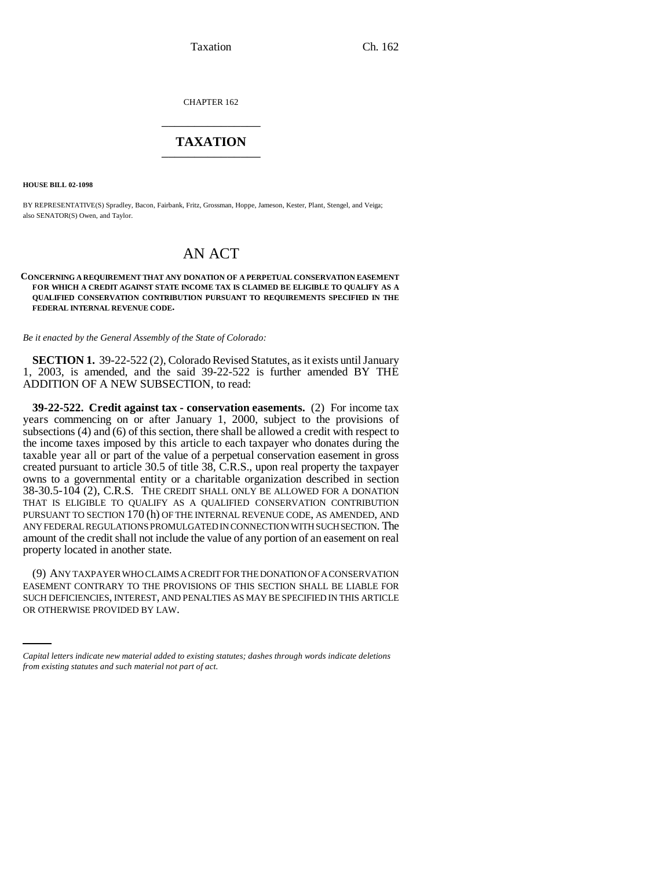Taxation Ch. 162

CHAPTER 162 \_\_\_\_\_\_\_\_\_\_\_\_\_\_\_

## **TAXATION** \_\_\_\_\_\_\_\_\_\_\_\_\_\_\_

**HOUSE BILL 02-1098**

BY REPRESENTATIVE(S) Spradley, Bacon, Fairbank, Fritz, Grossman, Hoppe, Jameson, Kester, Plant, Stengel, and Veiga; also SENATOR(S) Owen, and Taylor.

## AN ACT

## **CONCERNING A REQUIREMENT THAT ANY DONATION OF A PERPETUAL CONSERVATION EASEMENT FOR WHICH A CREDIT AGAINST STATE INCOME TAX IS CLAIMED BE ELIGIBLE TO QUALIFY AS A QUALIFIED CONSERVATION CONTRIBUTION PURSUANT TO REQUIREMENTS SPECIFIED IN THE FEDERAL INTERNAL REVENUE CODE.**

*Be it enacted by the General Assembly of the State of Colorado:*

**SECTION 1.** 39-22-522 (2), Colorado Revised Statutes, as it exists until January 1, 2003, is amended, and the said 39-22-522 is further amended BY THE ADDITION OF A NEW SUBSECTION, to read:

**39-22-522. Credit against tax - conservation easements.** (2) For income tax years commencing on or after January 1, 2000, subject to the provisions of subsections (4) and (6) of this section, there shall be allowed a credit with respect to the income taxes imposed by this article to each taxpayer who donates during the taxable year all or part of the value of a perpetual conservation easement in gross created pursuant to article 30.5 of title 38, C.R.S., upon real property the taxpayer owns to a governmental entity or a charitable organization described in section 38-30.5-104 (2), C.R.S. THE CREDIT SHALL ONLY BE ALLOWED FOR A DONATION THAT IS ELIGIBLE TO QUALIFY AS A QUALIFIED CONSERVATION CONTRIBUTION PURSUANT TO SECTION 170 (h) OF THE INTERNAL REVENUE CODE, AS AMENDED, AND ANY FEDERAL REGULATIONS PROMULGATED IN CONNECTION WITH SUCH SECTION. The amount of the credit shall not include the value of any portion of an easement on real property located in another state.

EASEMENT CONTRARY TO THE PROVISIONS OF THIS SECTION SHALL BE LIABLE FOR (9) ANY TAXPAYER WHO CLAIMS A CREDIT FOR THE DONATION OF A CONSERVATION SUCH DEFICIENCIES, INTEREST, AND PENALTIES AS MAY BE SPECIFIED IN THIS ARTICLE OR OTHERWISE PROVIDED BY LAW.

*Capital letters indicate new material added to existing statutes; dashes through words indicate deletions from existing statutes and such material not part of act.*